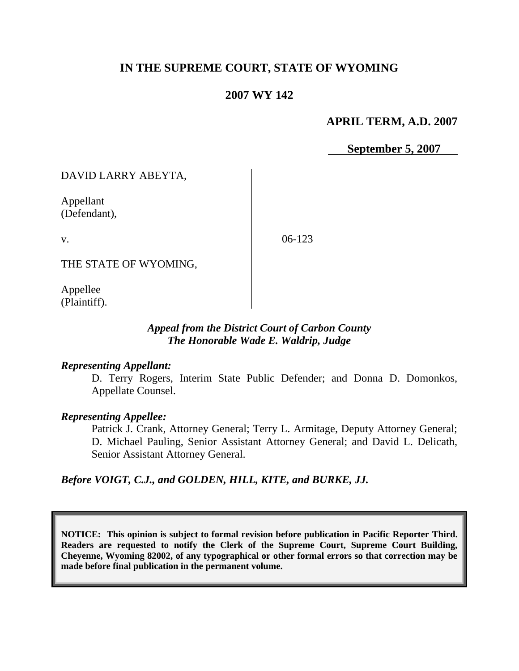# **IN THE SUPREME COURT, STATE OF WYOMING**

# **2007 WY 142**

#### **APRIL TERM, A.D. 2007**

 **September 5, 2007**

DAVID LARRY ABEYTA,

Appellant (Defendant),

v.

06-123

THE STATE OF WYOMING,

Appellee (Plaintiff).

### *Appeal from the District Court of Carbon County The Honorable Wade E. Waldrip, Judge*

#### *Representing Appellant:*

D. Terry Rogers, Interim State Public Defender; and Donna D. Domonkos, Appellate Counsel.

#### *Representing Appellee:*

Patrick J. Crank, Attorney General; Terry L. Armitage, Deputy Attorney General; D. Michael Pauling, Senior Assistant Attorney General; and David L. Delicath, Senior Assistant Attorney General.

*Before VOIGT, C.J., and GOLDEN, HILL, KITE, and BURKE, JJ.*

**NOTICE: This opinion is subject to formal revision before publication in Pacific Reporter Third. Readers are requested to notify the Clerk of the Supreme Court, Supreme Court Building, Cheyenne, Wyoming 82002, of any typographical or other formal errors so that correction may be made before final publication in the permanent volume.**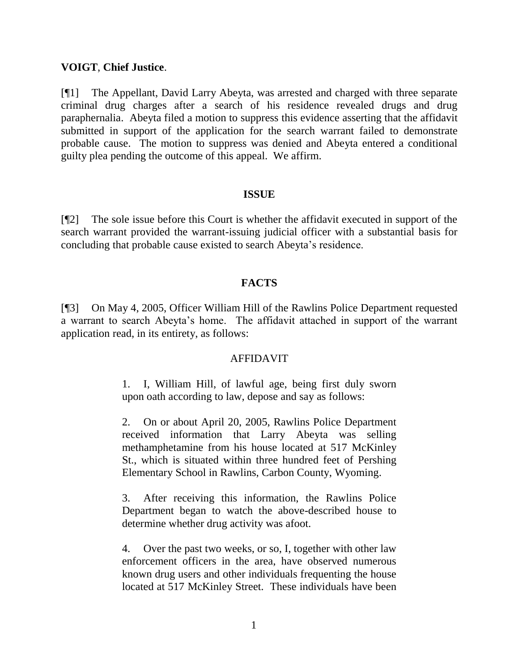#### **VOIGT**, **Chief Justice**.

[¶1] The Appellant, David Larry Abeyta, was arrested and charged with three separate criminal drug charges after a search of his residence revealed drugs and drug paraphernalia. Abeyta filed a motion to suppress this evidence asserting that the affidavit submitted in support of the application for the search warrant failed to demonstrate probable cause. The motion to suppress was denied and Abeyta entered a conditional guilty plea pending the outcome of this appeal. We affirm.

#### **ISSUE**

[¶2] The sole issue before this Court is whether the affidavit executed in support of the search warrant provided the warrant-issuing judicial officer with a substantial basis for concluding that probable cause existed to search Abeyta"s residence.

# **FACTS**

[¶3] On May 4, 2005, Officer William Hill of the Rawlins Police Department requested a warrant to search Abeyta"s home. The affidavit attached in support of the warrant application read, in its entirety, as follows:

#### AFFIDAVIT

1. I, William Hill, of lawful age, being first duly sworn upon oath according to law, depose and say as follows:

2. On or about April 20, 2005, Rawlins Police Department received information that Larry Abeyta was selling methamphetamine from his house located at 517 McKinley St., which is situated within three hundred feet of Pershing Elementary School in Rawlins, Carbon County, Wyoming.

3. After receiving this information, the Rawlins Police Department began to watch the above-described house to determine whether drug activity was afoot.

4. Over the past two weeks, or so, I, together with other law enforcement officers in the area, have observed numerous known drug users and other individuals frequenting the house located at 517 McKinley Street. These individuals have been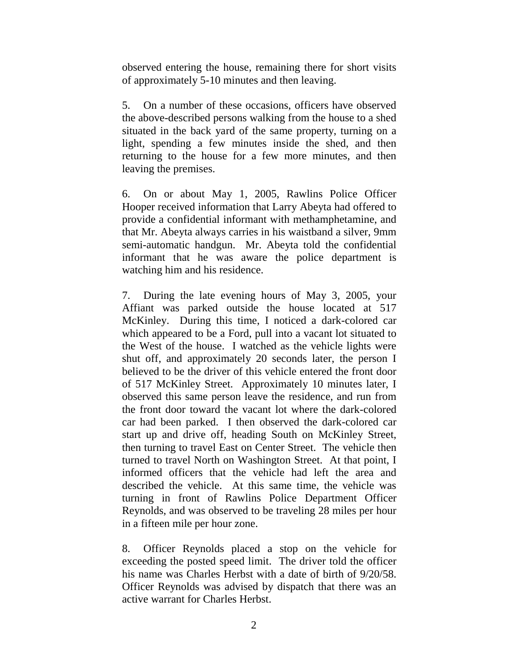observed entering the house, remaining there for short visits of approximately 5-10 minutes and then leaving.

5. On a number of these occasions, officers have observed the above-described persons walking from the house to a shed situated in the back yard of the same property, turning on a light, spending a few minutes inside the shed, and then returning to the house for a few more minutes, and then leaving the premises.

6. On or about May 1, 2005, Rawlins Police Officer Hooper received information that Larry Abeyta had offered to provide a confidential informant with methamphetamine, and that Mr. Abeyta always carries in his waistband a silver, 9mm semi-automatic handgun. Mr. Abeyta told the confidential informant that he was aware the police department is watching him and his residence.

7. During the late evening hours of May 3, 2005, your Affiant was parked outside the house located at 517 McKinley. During this time, I noticed a dark-colored car which appeared to be a Ford, pull into a vacant lot situated to the West of the house. I watched as the vehicle lights were shut off, and approximately 20 seconds later, the person I believed to be the driver of this vehicle entered the front door of 517 McKinley Street. Approximately 10 minutes later, I observed this same person leave the residence, and run from the front door toward the vacant lot where the dark-colored car had been parked. I then observed the dark-colored car start up and drive off, heading South on McKinley Street, then turning to travel East on Center Street. The vehicle then turned to travel North on Washington Street. At that point, I informed officers that the vehicle had left the area and described the vehicle. At this same time, the vehicle was turning in front of Rawlins Police Department Officer Reynolds, and was observed to be traveling 28 miles per hour in a fifteen mile per hour zone.

8. Officer Reynolds placed a stop on the vehicle for exceeding the posted speed limit. The driver told the officer his name was Charles Herbst with a date of birth of 9/20/58. Officer Reynolds was advised by dispatch that there was an active warrant for Charles Herbst.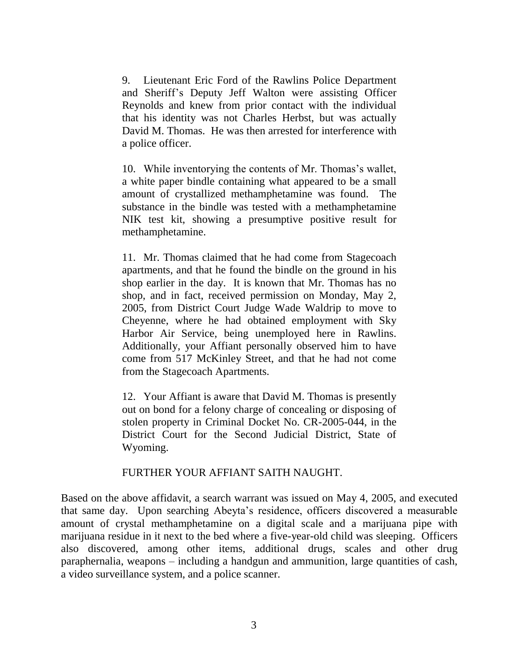9. Lieutenant Eric Ford of the Rawlins Police Department and Sheriff"s Deputy Jeff Walton were assisting Officer Reynolds and knew from prior contact with the individual that his identity was not Charles Herbst, but was actually David M. Thomas. He was then arrested for interference with a police officer.

10. While inventorying the contents of Mr. Thomas"s wallet, a white paper bindle containing what appeared to be a small amount of crystallized methamphetamine was found. The substance in the bindle was tested with a methamphetamine NIK test kit, showing a presumptive positive result for methamphetamine.

11. Mr. Thomas claimed that he had come from Stagecoach apartments, and that he found the bindle on the ground in his shop earlier in the day. It is known that Mr. Thomas has no shop, and in fact, received permission on Monday, May 2, 2005, from District Court Judge Wade Waldrip to move to Cheyenne, where he had obtained employment with Sky Harbor Air Service, being unemployed here in Rawlins. Additionally, your Affiant personally observed him to have come from 517 McKinley Street, and that he had not come from the Stagecoach Apartments.

12. Your Affiant is aware that David M. Thomas is presently out on bond for a felony charge of concealing or disposing of stolen property in Criminal Docket No. CR-2005-044, in the District Court for the Second Judicial District, State of Wyoming.

#### FURTHER YOUR AFFIANT SAITH NAUGHT.

Based on the above affidavit, a search warrant was issued on May 4, 2005, and executed that same day. Upon searching Abeyta"s residence, officers discovered a measurable amount of crystal methamphetamine on a digital scale and a marijuana pipe with marijuana residue in it next to the bed where a five-year-old child was sleeping. Officers also discovered, among other items, additional drugs, scales and other drug paraphernalia, weapons – including a handgun and ammunition, large quantities of cash, a video surveillance system, and a police scanner.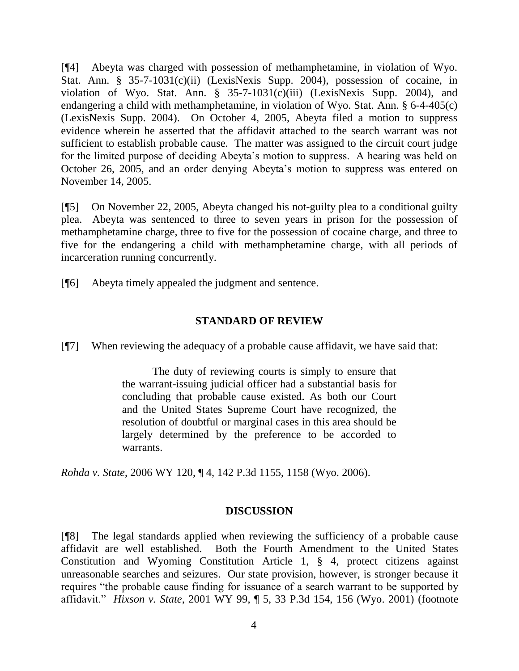[¶4] Abeyta was charged with possession of methamphetamine, in violation of Wyo. Stat. Ann. § 35-7-1031(c)(ii) (LexisNexis Supp. 2004), possession of cocaine, in violation of Wyo. Stat. Ann. § 35-7-1031(c)(iii) (LexisNexis Supp. 2004), and endangering a child with methamphetamine, in violation of Wyo. Stat. Ann. § 6-4-405(c) (LexisNexis Supp. 2004). On October 4, 2005, Abeyta filed a motion to suppress evidence wherein he asserted that the affidavit attached to the search warrant was not sufficient to establish probable cause. The matter was assigned to the circuit court judge for the limited purpose of deciding Abeyta"s motion to suppress. A hearing was held on October 26, 2005, and an order denying Abeyta"s motion to suppress was entered on November 14, 2005.

[¶5] On November 22, 2005, Abeyta changed his not-guilty plea to a conditional guilty plea. Abeyta was sentenced to three to seven years in prison for the possession of methamphetamine charge, three to five for the possession of cocaine charge, and three to five for the endangering a child with methamphetamine charge, with all periods of incarceration running concurrently.

[¶6] Abeyta timely appealed the judgment and sentence.

### **STANDARD OF REVIEW**

[¶7] When reviewing the adequacy of a probable cause affidavit, we have said that:

The duty of reviewing courts is simply to ensure that the warrant-issuing judicial officer had a substantial basis for concluding that probable cause existed. As both our Court and the United States Supreme Court have recognized, the resolution of doubtful or marginal cases in this area should be largely determined by the preference to be accorded to warrants.

*Rohda v. State*, 2006 WY 120, ¶ 4, 142 P.3d 1155, 1158 (Wyo. 2006).

#### **DISCUSSION**

[¶8] The legal standards applied when reviewing the sufficiency of a probable cause affidavit are well established. Both the Fourth Amendment to the United States Constitution and Wyoming Constitution Article 1, § 4, protect citizens against unreasonable searches and seizures. Our state provision, however, is stronger because it requires "the probable cause finding for issuance of a search warrant to be supported by affidavit." *Hixson v. State*, 2001 WY 99, ¶ 5, 33 P.3d 154, 156 (Wyo. 2001) (footnote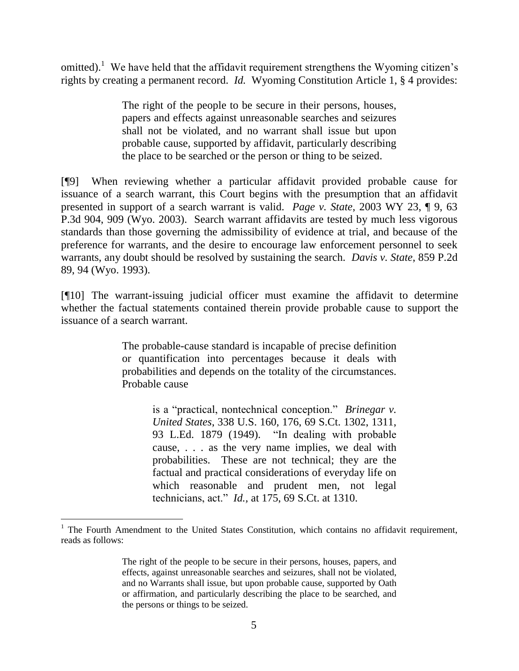omitted).<sup>1</sup> We have held that the affidavit requirement strengthens the Wyoming citizen's rights by creating a permanent record. *Id.* Wyoming Constitution Article 1, § 4 provides:

> The right of the people to be secure in their persons, houses, papers and effects against unreasonable searches and seizures shall not be violated, and no warrant shall issue but upon probable cause, supported by affidavit, particularly describing the place to be searched or the person or thing to be seized.

[¶9] When reviewing whether a particular affidavit provided probable cause for issuance of a search warrant, this Court begins with the presumption that an affidavit presented in support of a search warrant is valid. *Page v. State*, 2003 WY 23, ¶ 9, 63 P.3d 904, 909 (Wyo. 2003). Search warrant affidavits are tested by much less vigorous standards than those governing the admissibility of evidence at trial, and because of the preference for warrants, and the desire to encourage law enforcement personnel to seek warrants, any doubt should be resolved by sustaining the search. *Davis v. State*, 859 P.2d 89, 94 (Wyo. 1993).

[¶10] The warrant-issuing judicial officer must examine the affidavit to determine whether the factual statements contained therein provide probable cause to support the issuance of a search warrant.

> The probable-cause standard is incapable of precise definition or quantification into percentages because it deals with probabilities and depends on the totality of the circumstances. Probable cause

> > is a "practical, nontechnical conception." *Brinegar v. United States*, 338 U.S. 160, 176, 69 S.Ct. 1302, 1311, 93 L.Ed. 1879 (1949). "In dealing with probable cause, . . . as the very name implies, we deal with probabilities. These are not technical; they are the factual and practical considerations of everyday life on which reasonable and prudent men, not legal technicians, act." *Id.,* at 175, 69 S.Ct. at 1310.

<sup>&</sup>lt;sup>1</sup> The Fourth Amendment to the United States Constitution, which contains no affidavit requirement, reads as follows:

The right of the people to be secure in their persons, houses, papers, and effects, against unreasonable searches and seizures, shall not be violated, and no Warrants shall issue, but upon probable cause, supported by Oath or affirmation, and particularly describing the place to be searched, and the persons or things to be seized.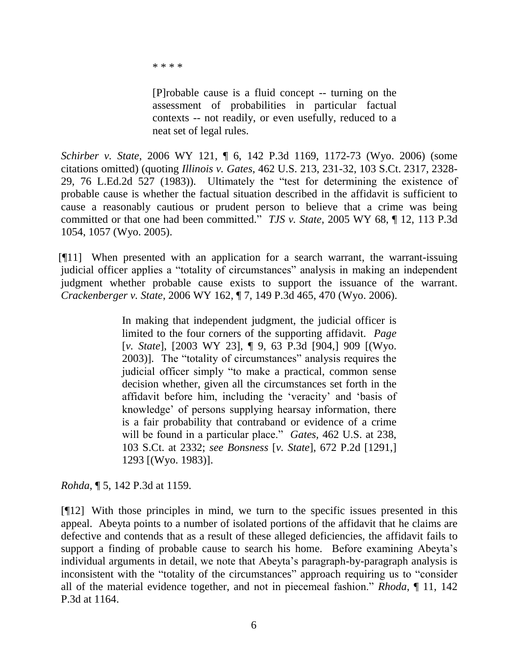\* \* \* \*

[P]robable cause is a fluid concept -- turning on the assessment of probabilities in particular factual contexts -- not readily, or even usefully, reduced to a neat set of legal rules.

*Schirber v. State*, 2006 WY 121, ¶ 6, 142 P.3d 1169, 1172-73 (Wyo. 2006) (some citations omitted) (quoting *Illinois v. Gates*, 462 U.S. 213, 231-32, 103 S.Ct. 2317, 2328- 29, 76 L.Ed.2d 527 (1983)). Ultimately the "test for determining the existence of probable cause is whether the factual situation described in the affidavit is sufficient to cause a reasonably cautious or prudent person to believe that a crime was being committed or that one had been committed." *TJS v. State*, 2005 WY 68, ¶ 12, 113 P.3d 1054, 1057 (Wyo. 2005).

[¶11] When presented with an application for a search warrant, the warrant-issuing judicial officer applies a "totality of circumstances" analysis in making an independent judgment whether probable cause exists to support the issuance of the warrant. *Crackenberger v. State*, 2006 WY 162, ¶ 7, 149 P.3d 465, 470 (Wyo. 2006).

> In making that independent judgment, the judicial officer is limited to the four corners of the supporting affidavit. *Page* [*v. State*], [2003 WY 23], ¶ 9, 63 P.3d [904,] 909 [(Wyo. 2003)]. The "totality of circumstances" analysis requires the judicial officer simply "to make a practical, common sense decision whether, given all the circumstances set forth in the affidavit before him, including the "veracity" and "basis of knowledge" of persons supplying hearsay information, there is a fair probability that contraband or evidence of a crime will be found in a particular place." *Gates,* 462 U.S. at 238, 103 S.Ct. at 2332; *see Bonsness* [*v. State*], 672 P.2d [1291,] 1293 [(Wyo. 1983)].

*Rohda*, ¶ 5, 142 P.3d at 1159.

[¶12] With those principles in mind, we turn to the specific issues presented in this appeal. Abeyta points to a number of isolated portions of the affidavit that he claims are defective and contends that as a result of these alleged deficiencies, the affidavit fails to support a finding of probable cause to search his home. Before examining Abeyta's individual arguments in detail, we note that Abeyta"s paragraph-by-paragraph analysis is inconsistent with the "totality of the circumstances" approach requiring us to "consider all of the material evidence together, and not in piecemeal fashion." *Rhoda*, ¶ 11, 142 P.3d at 1164.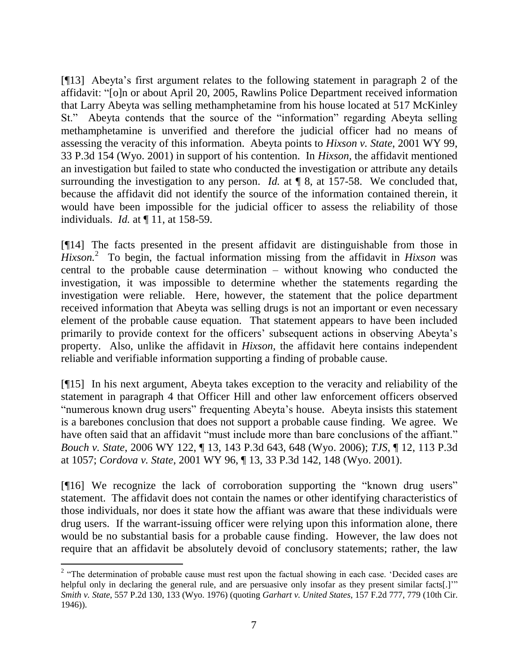[¶13] Abeyta"s first argument relates to the following statement in paragraph 2 of the affidavit: "[o]n or about April 20, 2005, Rawlins Police Department received information that Larry Abeyta was selling methamphetamine from his house located at 517 McKinley St." Abeyta contends that the source of the "information" regarding Abeyta selling methamphetamine is unverified and therefore the judicial officer had no means of assessing the veracity of this information. Abeyta points to *Hixson v. State*, 2001 WY 99, 33 P.3d 154 (Wyo. 2001) in support of his contention. In *Hixson,* the affidavit mentioned an investigation but failed to state who conducted the investigation or attribute any details surrounding the investigation to any person. *Id.* at  $\mathbb{I}8$ , at 157-58. We concluded that, because the affidavit did not identify the source of the information contained therein, it would have been impossible for the judicial officer to assess the reliability of those individuals. *Id.* at ¶ 11, at 158-59.

[¶14] The facts presented in the present affidavit are distinguishable from those in Hixson.<sup>2</sup> To begin, the factual information missing from the affidavit in *Hixson* was central to the probable cause determination – without knowing who conducted the investigation, it was impossible to determine whether the statements regarding the investigation were reliable. Here, however, the statement that the police department received information that Abeyta was selling drugs is not an important or even necessary element of the probable cause equation. That statement appears to have been included primarily to provide context for the officers' subsequent actions in observing Abeyta's property. Also, unlike the affidavit in *Hixson,* the affidavit here contains independent reliable and verifiable information supporting a finding of probable cause.

[¶15] In his next argument, Abeyta takes exception to the veracity and reliability of the statement in paragraph 4 that Officer Hill and other law enforcement officers observed "numerous known drug users" frequenting Abeyta"s house. Abeyta insists this statement is a barebones conclusion that does not support a probable cause finding. We agree. We have often said that an affidavit "must include more than bare conclusions of the affiant." *Bouch v. State*, 2006 WY 122, ¶ 13, 143 P.3d 643, 648 (Wyo. 2006); *TJS*, ¶ 12, 113 P.3d at 1057; *Cordova v. State*, 2001 WY 96, ¶ 13, 33 P.3d 142, 148 (Wyo. 2001).

[¶16] We recognize the lack of corroboration supporting the "known drug users" statement. The affidavit does not contain the names or other identifying characteristics of those individuals, nor does it state how the affiant was aware that these individuals were drug users. If the warrant-issuing officer were relying upon this information alone, there would be no substantial basis for a probable cause finding. However, the law does not require that an affidavit be absolutely devoid of conclusory statements; rather, the law

 $2 \text{ }$  "The determination of probable cause must rest upon the factual showing in each case. 'Decided cases are helpful only in declaring the general rule, and are persuasive only insofar as they present similar facts[.]" *Smith v. State*, 557 P.2d 130, 133 (Wyo. 1976) (quoting *Garhart v. United States*, 157 F.2d 777, 779 (10th Cir. 1946)).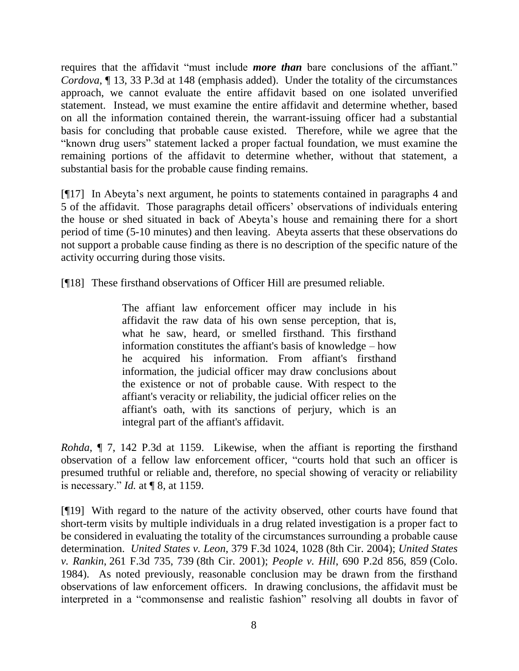requires that the affidavit "must include *more than* bare conclusions of the affiant." *Cordova*, ¶ 13, 33 P.3d at 148 (emphasis added). Under the totality of the circumstances approach, we cannot evaluate the entire affidavit based on one isolated unverified statement. Instead, we must examine the entire affidavit and determine whether, based on all the information contained therein, the warrant-issuing officer had a substantial basis for concluding that probable cause existed. Therefore, while we agree that the "known drug users" statement lacked a proper factual foundation, we must examine the remaining portions of the affidavit to determine whether, without that statement, a substantial basis for the probable cause finding remains.

[¶17] In Abeyta"s next argument, he points to statements contained in paragraphs 4 and 5 of the affidavit. Those paragraphs detail officers" observations of individuals entering the house or shed situated in back of Abeyta"s house and remaining there for a short period of time (5-10 minutes) and then leaving. Abeyta asserts that these observations do not support a probable cause finding as there is no description of the specific nature of the activity occurring during those visits.

[¶18] These firsthand observations of Officer Hill are presumed reliable.

The affiant law enforcement officer may include in his affidavit the raw data of his own sense perception, that is, what he saw, heard, or smelled firsthand. This firsthand information constitutes the affiant's basis of knowledge – how he acquired his information. From affiant's firsthand information, the judicial officer may draw conclusions about the existence or not of probable cause. With respect to the affiant's veracity or reliability, the judicial officer relies on the affiant's oath, with its sanctions of perjury, which is an integral part of the affiant's affidavit.

*Rohda*, ¶ 7, 142 P.3d at 1159. Likewise, when the affiant is reporting the firsthand observation of a fellow law enforcement officer, "courts hold that such an officer is presumed truthful or reliable and, therefore, no special showing of veracity or reliability is necessary." *Id.* at ¶ 8, at 1159.

[¶19] With regard to the nature of the activity observed, other courts have found that short-term visits by multiple individuals in a drug related investigation is a proper fact to be considered in evaluating the totality of the circumstances surrounding a probable cause determination. *United States v. Leon*, 379 F.3d 1024, 1028 (8th Cir. 2004); *United States v. Rankin*, 261 F.3d 735, 739 (8th Cir. 2001); *People v. Hill*, 690 P.2d 856, 859 (Colo. 1984). As noted previously, reasonable conclusion may be drawn from the firsthand observations of law enforcement officers. In drawing conclusions, the affidavit must be interpreted in a "commonsense and realistic fashion" resolving all doubts in favor of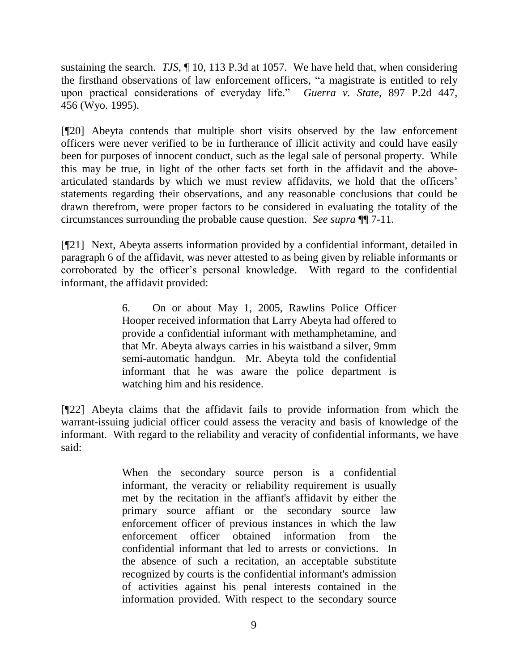sustaining the search. *TJS*, ¶ 10, 113 P.3d at 1057. We have held that, when considering the firsthand observations of law enforcement officers, "a magistrate is entitled to rely upon practical considerations of everyday life." *Guerra v. State*, 897 P.2d 447, 456 (Wyo. 1995).

[¶20] Abeyta contends that multiple short visits observed by the law enforcement officers were never verified to be in furtherance of illicit activity and could have easily been for purposes of innocent conduct, such as the legal sale of personal property. While this may be true, in light of the other facts set forth in the affidavit and the abovearticulated standards by which we must review affidavits, we hold that the officers" statements regarding their observations, and any reasonable conclusions that could be drawn therefrom, were proper factors to be considered in evaluating the totality of the circumstances surrounding the probable cause question. *See supra* ¶¶ 7-11.

[¶21] Next, Abeyta asserts information provided by a confidential informant, detailed in paragraph 6 of the affidavit, was never attested to as being given by reliable informants or corroborated by the officer"s personal knowledge. With regard to the confidential informant, the affidavit provided:

> 6. On or about May 1, 2005, Rawlins Police Officer Hooper received information that Larry Abeyta had offered to provide a confidential informant with methamphetamine, and that Mr. Abeyta always carries in his waistband a silver, 9mm semi-automatic handgun. Mr. Abeyta told the confidential informant that he was aware the police department is watching him and his residence.

[¶22] Abeyta claims that the affidavit fails to provide information from which the warrant-issuing judicial officer could assess the veracity and basis of knowledge of the informant. With regard to the reliability and veracity of confidential informants, we have said:

> When the secondary source person is a confidential informant, the veracity or reliability requirement is usually met by the recitation in the affiant's affidavit by either the primary source affiant or the secondary source law enforcement officer of previous instances in which the law enforcement officer obtained information from the confidential informant that led to arrests or convictions. In the absence of such a recitation, an acceptable substitute recognized by courts is the confidential informant's admission of activities against his penal interests contained in the information provided. With respect to the secondary source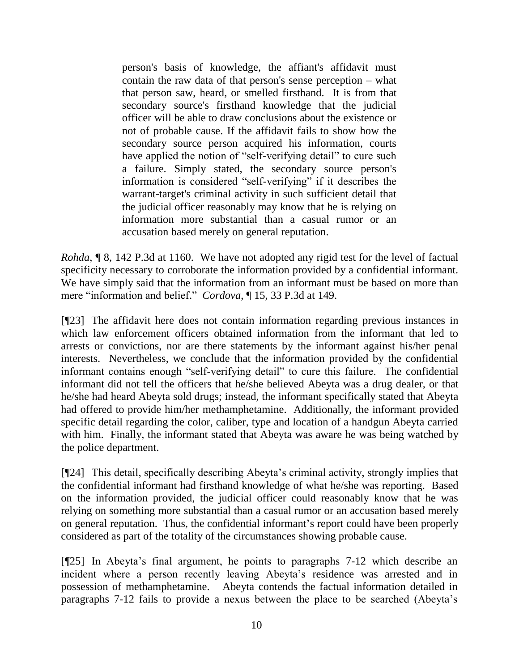person's basis of knowledge, the affiant's affidavit must contain the raw data of that person's sense perception – what that person saw, heard, or smelled firsthand. It is from that secondary source's firsthand knowledge that the judicial officer will be able to draw conclusions about the existence or not of probable cause. If the affidavit fails to show how the secondary source person acquired his information, courts have applied the notion of "self-verifying detail" to cure such a failure. Simply stated, the secondary source person's information is considered "self-verifying" if it describes the warrant-target's criminal activity in such sufficient detail that the judicial officer reasonably may know that he is relying on information more substantial than a casual rumor or an accusation based merely on general reputation.

*Rohda*, ¶ 8, 142 P.3d at 1160. We have not adopted any rigid test for the level of factual specificity necessary to corroborate the information provided by a confidential informant. We have simply said that the information from an informant must be based on more than mere "information and belief." *Cordova*, ¶ 15, 33 P.3d at 149.

[¶23] The affidavit here does not contain information regarding previous instances in which law enforcement officers obtained information from the informant that led to arrests or convictions, nor are there statements by the informant against his/her penal interests. Nevertheless, we conclude that the information provided by the confidential informant contains enough "self-verifying detail" to cure this failure. The confidential informant did not tell the officers that he/she believed Abeyta was a drug dealer, or that he/she had heard Abeyta sold drugs; instead, the informant specifically stated that Abeyta had offered to provide him/her methamphetamine. Additionally, the informant provided specific detail regarding the color, caliber, type and location of a handgun Abeyta carried with him. Finally, the informant stated that Abeyta was aware he was being watched by the police department.

[¶24] This detail, specifically describing Abeyta"s criminal activity, strongly implies that the confidential informant had firsthand knowledge of what he/she was reporting. Based on the information provided, the judicial officer could reasonably know that he was relying on something more substantial than a casual rumor or an accusation based merely on general reputation. Thus, the confidential informant's report could have been properly considered as part of the totality of the circumstances showing probable cause.

[¶25] In Abeyta"s final argument, he points to paragraphs 7-12 which describe an incident where a person recently leaving Abeyta's residence was arrested and in possession of methamphetamine. Abeyta contends the factual information detailed in paragraphs 7-12 fails to provide a nexus between the place to be searched (Abeyta"s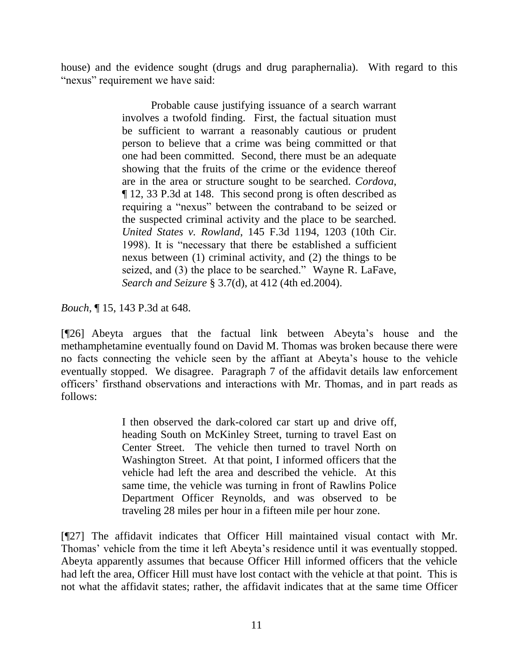house) and the evidence sought (drugs and drug paraphernalia). With regard to this "nexus" requirement we have said:

> Probable cause justifying issuance of a search warrant involves a twofold finding. First, the factual situation must be sufficient to warrant a reasonably cautious or prudent person to believe that a crime was being committed or that one had been committed. Second, there must be an adequate showing that the fruits of the crime or the evidence thereof are in the area or structure sought to be searched. *Cordova*, ¶ 12, 33 P.3d at 148. This second prong is often described as requiring a "nexus" between the contraband to be seized or the suspected criminal activity and the place to be searched. *United States v. Rowland*, 145 F.3d 1194, 1203 (10th Cir. 1998). It is "necessary that there be established a sufficient nexus between (1) criminal activity, and (2) the things to be seized, and (3) the place to be searched." Wayne R. LaFave, *Search and Seizure* § 3.7(d), at 412 (4th ed.2004).

*Bouch*, ¶ 15, 143 P.3d at 648.

[¶26] Abeyta argues that the factual link between Abeyta"s house and the methamphetamine eventually found on David M. Thomas was broken because there were no facts connecting the vehicle seen by the affiant at Abeyta"s house to the vehicle eventually stopped. We disagree. Paragraph 7 of the affidavit details law enforcement officers" firsthand observations and interactions with Mr. Thomas, and in part reads as follows:

> I then observed the dark-colored car start up and drive off, heading South on McKinley Street, turning to travel East on Center Street. The vehicle then turned to travel North on Washington Street. At that point, I informed officers that the vehicle had left the area and described the vehicle. At this same time, the vehicle was turning in front of Rawlins Police Department Officer Reynolds, and was observed to be traveling 28 miles per hour in a fifteen mile per hour zone.

[¶27] The affidavit indicates that Officer Hill maintained visual contact with Mr. Thomas' vehicle from the time it left Abeyta's residence until it was eventually stopped. Abeyta apparently assumes that because Officer Hill informed officers that the vehicle had left the area, Officer Hill must have lost contact with the vehicle at that point. This is not what the affidavit states; rather, the affidavit indicates that at the same time Officer